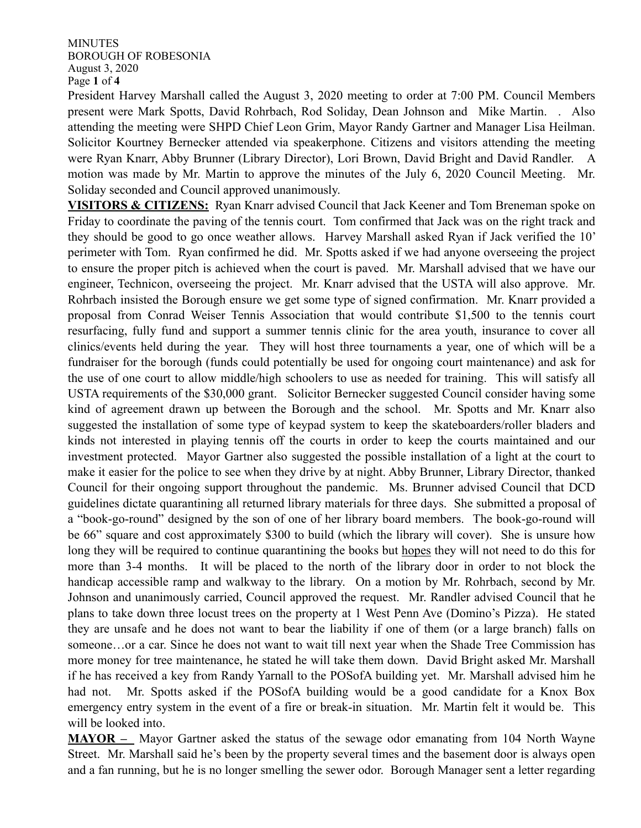## MINUTES BOROUGH OF ROBESONIA August 3, 2020 Page **1** of **4**

President Harvey Marshall called the August 3, 2020 meeting to order at 7:00 PM. Council Members present were Mark Spotts, David Rohrbach, Rod Soliday, Dean Johnson and Mike Martin. . Also attending the meeting were SHPD Chief Leon Grim, Mayor Randy Gartner and Manager Lisa Heilman. Solicitor Kourtney Bernecker attended via speakerphone. Citizens and visitors attending the meeting were Ryan Knarr, Abby Brunner (Library Director), Lori Brown, David Bright and David Randler. A motion was made by Mr. Martin to approve the minutes of the July 6, 2020 Council Meeting. Mr. Soliday seconded and Council approved unanimously.

**VISITORS & CITIZENS:** Ryan Knarr advised Council that Jack Keener and Tom Breneman spoke on Friday to coordinate the paving of the tennis court. Tom confirmed that Jack was on the right track and they should be good to go once weather allows. Harvey Marshall asked Ryan if Jack verified the 10' perimeter with Tom. Ryan confirmed he did. Mr. Spotts asked if we had anyone overseeing the project to ensure the proper pitch is achieved when the court is paved. Mr. Marshall advised that we have our engineer, Technicon, overseeing the project. Mr. Knarr advised that the USTA will also approve. Mr. Rohrbach insisted the Borough ensure we get some type of signed confirmation. Mr. Knarr provided a proposal from Conrad Weiser Tennis Association that would contribute \$1,500 to the tennis court resurfacing, fully fund and support a summer tennis clinic for the area youth, insurance to cover all clinics/events held during the year. They will host three tournaments a year, one of which will be a fundraiser for the borough (funds could potentially be used for ongoing court maintenance) and ask for the use of one court to allow middle/high schoolers to use as needed for training. This will satisfy all USTA requirements of the \$30,000 grant. Solicitor Bernecker suggested Council consider having some kind of agreement drawn up between the Borough and the school. Mr. Spotts and Mr. Knarr also suggested the installation of some type of keypad system to keep the skateboarders/roller bladers and kinds not interested in playing tennis off the courts in order to keep the courts maintained and our investment protected. Mayor Gartner also suggested the possible installation of a light at the court to make it easier for the police to see when they drive by at night. Abby Brunner, Library Director, thanked Council for their ongoing support throughout the pandemic. Ms. Brunner advised Council that DCD guidelines dictate quarantining all returned library materials for three days. She submitted a proposal of a "book-go-round" designed by the son of one of her library board members. The book-go-round will be 66" square and cost approximately \$300 to build (which the library will cover). She is unsure how long they will be required to continue quarantining the books but hopes they will not need to do this for more than 3-4 months. It will be placed to the north of the library door in order to not block the handicap accessible ramp and walkway to the library. On a motion by Mr. Rohrbach, second by Mr. Johnson and unanimously carried, Council approved the request. Mr. Randler advised Council that he plans to take down three locust trees on the property at 1 West Penn Ave (Domino's Pizza). He stated they are unsafe and he does not want to bear the liability if one of them (or a large branch) falls on someone...or a car. Since he does not want to wait till next year when the Shade Tree Commission has more money for tree maintenance, he stated he will take them down. David Bright asked Mr. Marshall if he has received a key from Randy Yarnall to the POSofA building yet. Mr. Marshall advised him he had not. Mr. Spotts asked if the POSofA building would be a good candidate for a Knox Box emergency entry system in the event of a fire or break-in situation. Mr. Martin felt it would be. This will be looked into.

**MAYOR –** Mayor Gartner asked the status of the sewage odor emanating from 104 North Wayne Street. Mr. Marshall said he's been by the property several times and the basement door is always open and a fan running, but he is no longer smelling the sewer odor. Borough Manager sent a letter regarding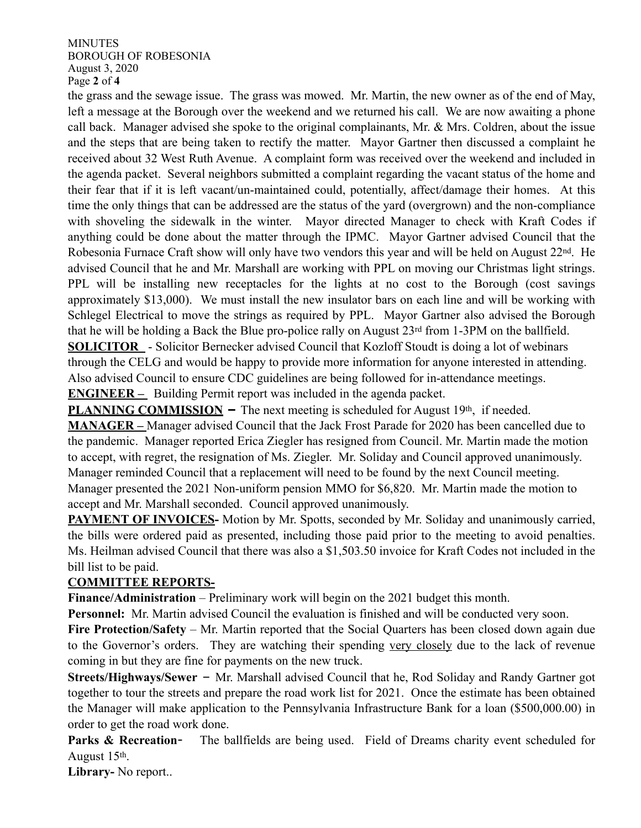MINUTES BOROUGH OF ROBESONIA August 3, 2020 Page **2** of **4**

the grass and the sewage issue. The grass was mowed. Mr. Martin, the new owner as of the end of May, left a message at the Borough over the weekend and we returned his call. We are now awaiting a phone call back. Manager advised she spoke to the original complainants, Mr. & Mrs. Coldren, about the issue and the steps that are being taken to rectify the matter. Mayor Gartner then discussed a complaint he received about 32 West Ruth Avenue. A complaint form was received over the weekend and included in the agenda packet. Several neighbors submitted a complaint regarding the vacant status of the home and their fear that if it is left vacant/un-maintained could, potentially, affect/damage their homes. At this time the only things that can be addressed are the status of the yard (overgrown) and the non-compliance with shoveling the sidewalk in the winter. Mayor directed Manager to check with Kraft Codes if anything could be done about the matter through the IPMC. Mayor Gartner advised Council that the Robesonia Furnace Craft show will only have two vendors this year and will be held on August 22<sup>nd</sup>. He advised Council that he and Mr. Marshall are working with PPL on moving our Christmas light strings. PPL will be installing new receptacles for the lights at no cost to the Borough (cost savings approximately \$13,000). We must install the new insulator bars on each line and will be working with Schlegel Electrical to move the strings as required by PPL. Mayor Gartner also advised the Borough that he will be holding a Back the Blue pro-police rally on August 23rd from 1-3PM on the ballfield.

**SOLICITOR** - Solicitor Bernecker advised Council that Kozloff Stoudt is doing a lot of webinars through the CELG and would be happy to provide more information for anyone interested in attending. Also advised Council to ensure CDC guidelines are being followed for in-attendance meetings. **ENGINEER –** Building Permit report was included in the agenda packet.

**PLANNING COMMISSION –** The next meeting is scheduled for August 19th, if needed.

**MANAGER –** Manager advised Council that the Jack Frost Parade for 2020 has been cancelled due to the pandemic. Manager reported Erica Ziegler has resigned from Council. Mr. Martin made the motion to accept, with regret, the resignation of Ms. Ziegler. Mr. Soliday and Council approved unanimously. Manager reminded Council that a replacement will need to be found by the next Council meeting. Manager presented the 2021 Non-uniform pension MMO for \$6,820. Mr. Martin made the motion to accept and Mr. Marshall seconded. Council approved unanimously.

**PAYMENT OF INVOICES-** Motion by Mr. Spotts, seconded by Mr. Soliday and unanimously carried, the bills were ordered paid as presented, including those paid prior to the meeting to avoid penalties. Ms. Heilman advised Council that there was also a \$1,503.50 invoice for Kraft Codes not included in the bill list to be paid.

## **COMMITTEE REPORTS-**

**Finance/Administration** – Preliminary work will begin on the 2021 budget this month.

**Personnel:** Mr. Martin advised Council the evaluation is finished and will be conducted very soon.

**Fire Protection/Safety** – Mr. Martin reported that the Social Quarters has been closed down again due to the Governor's orders. They are watching their spending very closely due to the lack of revenue coming in but they are fine for payments on the new truck.

**Streets/Highways/Sewer** – Mr. Marshall advised Council that he, Rod Soliday and Randy Gartner got together to tour the streets and prepare the road work list for 2021. Once the estimate has been obtained the Manager will make application to the Pennsylvania Infrastructure Bank for a loan (\$500,000.00) in order to get the road work done.

**Parks & Recreation-** The ballfields are being used. Field of Dreams charity event scheduled for August 15th.

**Library-** No report..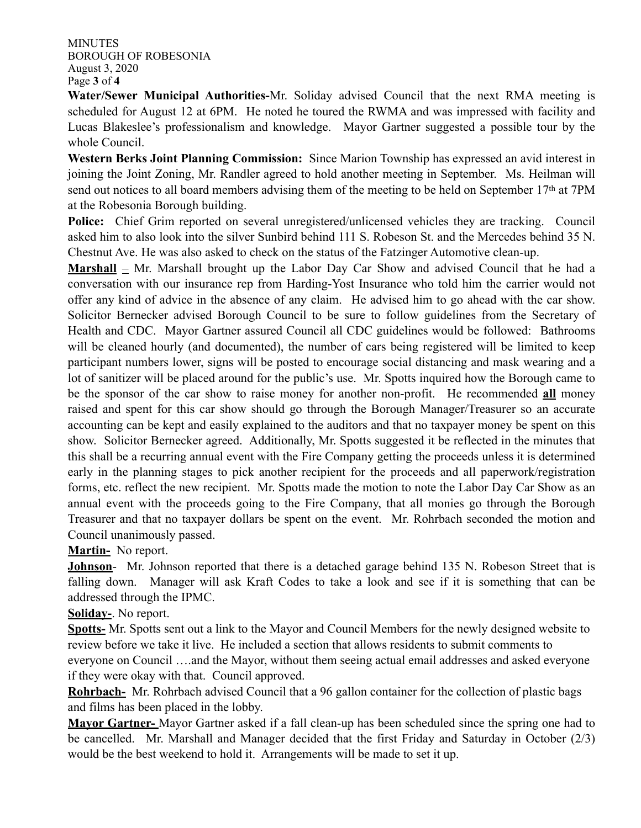MINUTES BOROUGH OF ROBESONIA August 3, 2020 Page **3** of **4**

**Water/Sewer Municipal Authorities-**Mr. Soliday advised Council that the next RMA meeting is scheduled for August 12 at 6PM. He noted he toured the RWMA and was impressed with facility and Lucas Blakeslee's professionalism and knowledge. Mayor Gartner suggested a possible tour by the whole Council.

**Western Berks Joint Planning Commission:** Since Marion Township has expressed an avid interest in joining the Joint Zoning, Mr. Randler agreed to hold another meeting in September. Ms. Heilman will send out notices to all board members advising them of the meeting to be held on September 17th at 7PM at the Robesonia Borough building.

**Police:** Chief Grim reported on several unregistered/unlicensed vehicles they are tracking. Council asked him to also look into the silver Sunbird behind 111 S. Robeson St. and the Mercedes behind 35 N. Chestnut Ave. He was also asked to check on the status of the Fatzinger Automotive clean-up.

**Marshall** – Mr. Marshall brought up the Labor Day Car Show and advised Council that he had a conversation with our insurance rep from Harding-Yost Insurance who told him the carrier would not offer any kind of advice in the absence of any claim. He advised him to go ahead with the car show. Solicitor Bernecker advised Borough Council to be sure to follow guidelines from the Secretary of Health and CDC. Mayor Gartner assured Council all CDC guidelines would be followed: Bathrooms will be cleaned hourly (and documented), the number of cars being registered will be limited to keep participant numbers lower, signs will be posted to encourage social distancing and mask wearing and a lot of sanitizer will be placed around for the public's use. Mr. Spotts inquired how the Borough came to be the sponsor of the car show to raise money for another non-profit. He recommended **all** money raised and spent for this car show should go through the Borough Manager/Treasurer so an accurate accounting can be kept and easily explained to the auditors and that no taxpayer money be spent on this show. Solicitor Bernecker agreed. Additionally, Mr. Spotts suggested it be reflected in the minutes that this shall be a recurring annual event with the Fire Company getting the proceeds unless it is determined early in the planning stages to pick another recipient for the proceeds and all paperwork/registration forms, etc. reflect the new recipient. Mr. Spotts made the motion to note the Labor Day Car Show as an annual event with the proceeds going to the Fire Company, that all monies go through the Borough Treasurer and that no taxpayer dollars be spent on the event. Mr. Rohrbach seconded the motion and Council unanimously passed.

**Martin-** No report.

**Johnson**- Mr. Johnson reported that there is a detached garage behind 135 N. Robeson Street that is falling down. Manager will ask Kraft Codes to take a look and see if it is something that can be addressed through the IPMC.

**Soliday-**. No report.

**Spotts-** Mr. Spotts sent out a link to the Mayor and Council Members for the newly designed website to review before we take it live. He included a section that allows residents to submit comments to everyone on Council ….and the Mayor, without them seeing actual email addresses and asked everyone if they were okay with that. Council approved.

**Rohrbach-** Mr. Rohrbach advised Council that a 96 gallon container for the collection of plastic bags and films has been placed in the lobby.

**Mayor Gartner-** Mayor Gartner asked if a fall clean-up has been scheduled since the spring one had to be cancelled. Mr. Marshall and Manager decided that the first Friday and Saturday in October (2/3) would be the best weekend to hold it. Arrangements will be made to set it up.